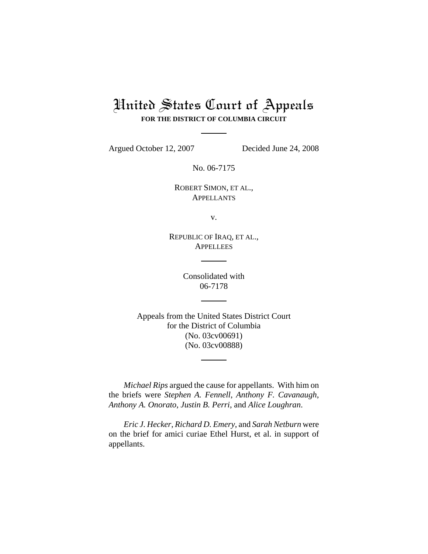# United States Court of Appeals **FOR THE DISTRICT OF COLUMBIA CIRCUIT**

Argued October 12, 2007 Decided June 24, 2008

No. 06-7175

ROBERT SIMON, ET AL., APPELLANTS

v.

REPUBLIC OF IRAQ, ET AL., **APPELLEES** 

> Consolidated with 06-7178

Appeals from the United States District Court for the District of Columbia (No. 03cv00691) (No. 03cv00888)

*Michael Rips* argued the cause for appellants. With him on the briefs were *Stephen A. Fennell*, *Anthony F. Cavanaugh*, *Anthony A. Onorato*, *Justin B. Perri*, and *Alice Loughran*.

*Eric J. Hecker*, *Richard D. Emery*, and *Sarah Netburn* were on the brief for amici curiae Ethel Hurst, et al. in support of appellants.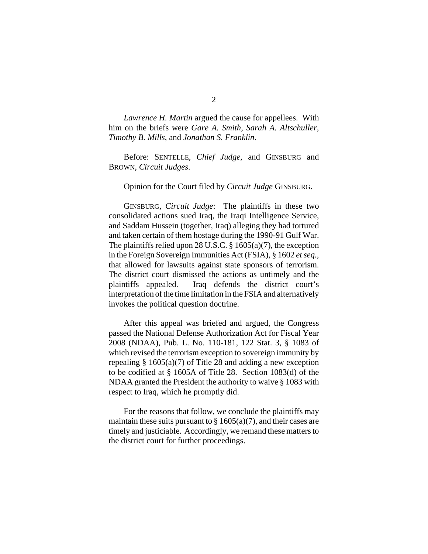*Lawrence H. Martin* argued the cause for appellees. With him on the briefs were *Gare A. Smith*, *Sarah A. Altschuller*, *Timothy B. Mills*, and *Jonathan S. Franklin*.

Before: SENTELLE, *Chief Judge*, and GINSBURG and BROWN, *Circuit Judges*.

#### Opinion for the Court filed by *Circuit Judge* GINSBURG.

GINSBURG, *Circuit Judge*: The plaintiffs in these two consolidated actions sued Iraq, the Iraqi Intelligence Service, and Saddam Hussein (together, Iraq) alleging they had tortured and taken certain of them hostage during the 1990-91 Gulf War. The plaintiffs relied upon 28 U.S.C.  $\S$  1605(a)(7), the exception in the Foreign Sovereign Immunities Act (FSIA), § 1602 *et seq.,* that allowed for lawsuits against state sponsors of terrorism. The district court dismissed the actions as untimely and the plaintiffs appealed. Iraq defends the district court's interpretation of the time limitation in the FSIA and alternatively invokes the political question doctrine.

After this appeal was briefed and argued, the Congress passed the National Defense Authorization Act for Fiscal Year 2008 (NDAA), Pub. L. No. 110-181, 122 Stat. 3, § 1083 of which revised the terrorism exception to sovereign immunity by repealing  $\S 1605(a)(7)$  of Title 28 and adding a new exception to be codified at § 1605A of Title 28. Section 1083(d) of the NDAA granted the President the authority to waive § 1083 with respect to Iraq, which he promptly did.

For the reasons that follow, we conclude the plaintiffs may maintain these suits pursuant to  $\S 1605(a)(7)$ , and their cases are timely and justiciable. Accordingly, we remand these matters to the district court for further proceedings.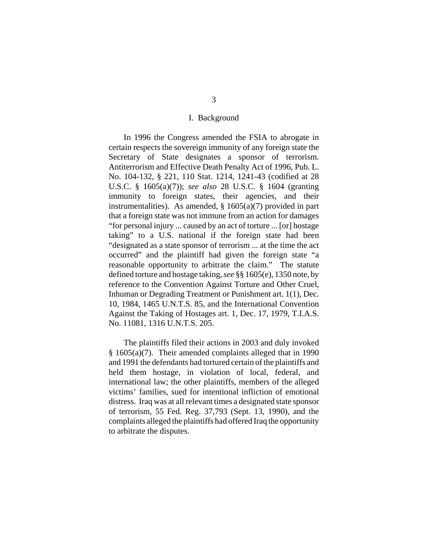#### I. Background

In 1996 the Congress amended the FSIA to abrogate in certain respects the sovereign immunity of any foreign state the Secretary of State designates a sponsor of terrorism. Antiterrorism and Effective Death Penalty Act of 1996, Pub. L. No. 104-132, § 221, 110 Stat. 1214, 1241-43 (codified at 28 U.S.C. § 1605(a)(7)); *see also* 28 U.S.C. § 1604 (granting immunity to foreign states, their agencies, and their instrumentalities). As amended,  $\S 1605(a)(7)$  provided in part that a foreign state was not immune from an action for damages "for personal injury ... caused by an act of torture ... [or] hostage taking" to a U.S. national if the foreign state had been "designated as a state sponsor of terrorism ... at the time the act occurred" and the plaintiff had given the foreign state "a reasonable opportunity to arbitrate the claim." The statute defined torture and hostage taking, *see* §§ 1605(e), 1350 note, by reference to the Convention Against Torture and Other Cruel, Inhuman or Degrading Treatment or Punishment art. 1(1), Dec. 10, 1984, 1465 U.N.T.S. 85, and the International Convention Against the Taking of Hostages art. 1, Dec. 17, 1979, T.I.A.S. No. 11081, 1316 U.N.T.S. 205.

The plaintiffs filed their actions in 2003 and duly invoked § 1605(a)(7). Their amended complaints alleged that in 1990 and 1991 the defendants had tortured certain of the plaintiffs and held them hostage, in violation of local, federal, and international law; the other plaintiffs, members of the alleged victims' families, sued for intentional infliction of emotional distress. Iraq was at all relevant times a designated state sponsor of terrorism, 55 Fed. Reg. 37,793 (Sept. 13, 1990), and the complaints alleged the plaintiffs had offered Iraq the opportunity to arbitrate the disputes.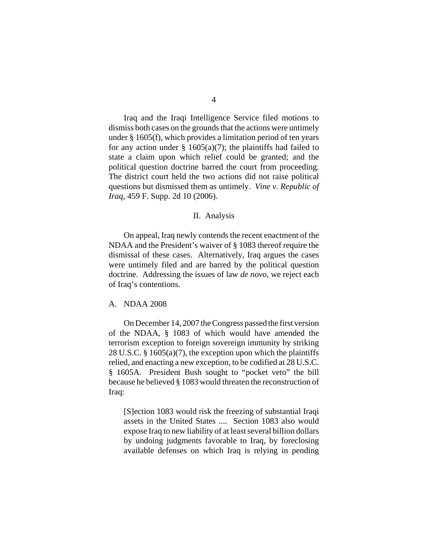Iraq and the Iraqi Intelligence Service filed motions to dismiss both cases on the grounds that the actions were untimely under § 1605(f), which provides a limitation period of ten years for any action under  $\S$  1605(a)(7); the plaintiffs had failed to state a claim upon which relief could be granted; and the political question doctrine barred the court from proceeding. The district court held the two actions did not raise political questions but dismissed them as untimely. *Vine v. Republic of Iraq*, 459 F. Supp. 2d 10 (2006).

#### II. Analysis

On appeal, Iraq newly contends the recent enactment of the NDAA and the President's waiver of § 1083 thereof require the dismissal of these cases. Alternatively, Iraq argues the cases were untimely filed and are barred by the political question doctrine. Addressing the issues of law *de novo*, we reject each of Iraq's contentions.

### A. NDAA 2008

On December 14, 2007 the Congress passed the first version of the NDAA, § 1083 of which would have amended the terrorism exception to foreign sovereign immunity by striking 28 U.S.C. § 1605(a)(7), the exception upon which the plaintiffs relied, and enacting a new exception, to be codified at 28 U.S.C. § 1605A. President Bush sought to "pocket veto" the bill because he believed § 1083 would threaten the reconstruction of Iraq:

[S]ection 1083 would risk the freezing of substantial Iraqi assets in the United States .... Section 1083 also would expose Iraq to new liability of at least several billion dollars by undoing judgments favorable to Iraq, by foreclosing available defenses on which Iraq is relying in pending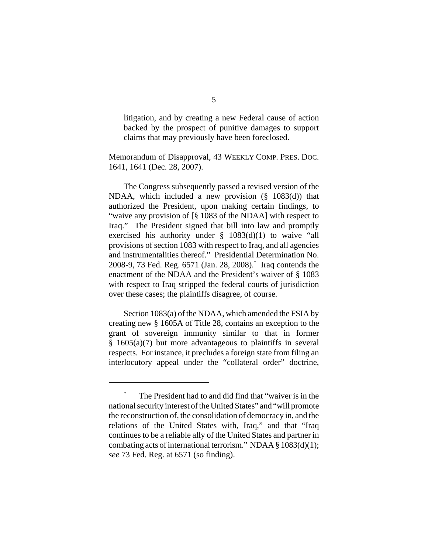litigation, and by creating a new Federal cause of action backed by the prospect of punitive damages to support claims that may previously have been foreclosed.

Memorandum of Disapproval, 43 WEEKLY COMP. PRES. DOC. 1641, 1641 (Dec. 28, 2007).

The Congress subsequently passed a revised version of the NDAA, which included a new provision (§ 1083(d)) that authorized the President, upon making certain findings, to "waive any provision of [§ 1083 of the NDAA] with respect to Iraq." The President signed that bill into law and promptly exercised his authority under  $\S$  1083(d)(1) to waive "all provisions of section 1083 with respect to Iraq, and all agencies and instrumentalities thereof." Presidential Determination No. 2008-9, 73 Fed. Reg. 6571 (Jan. 28, 2008).\* Iraq contends the enactment of the NDAA and the President's waiver of § 1083 with respect to Iraq stripped the federal courts of jurisdiction over these cases; the plaintiffs disagree, of course.

Section 1083(a) of the NDAA, which amended the FSIA by creating new § 1605A of Title 28, contains an exception to the grant of sovereign immunity similar to that in former  $§ 1605(a)(7)$  but more advantageous to plaintiffs in several respects. For instance, it precludes a foreign state from filing an interlocutory appeal under the "collateral order" doctrine,

The President had to and did find that "waiver is in the national security interest of the United States" and "will promote the reconstruction of, the consolidation of democracy in, and the relations of the United States with, Iraq," and that "Iraq continues to be a reliable ally of the United States and partner in combating acts of international terrorism." NDAA § 1083(d)(1); *see* 73 Fed. Reg. at 6571 (so finding).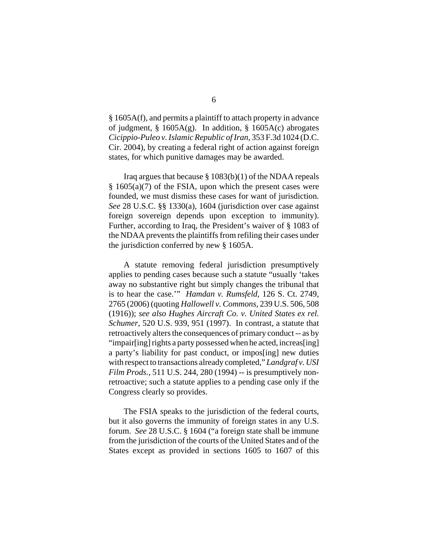§ 1605A(f), and permits a plaintiff to attach property in advance of judgment, § 1605A(g). In addition, § 1605A(c) abrogates *Cicippio-Puleo v. Islamic Republic of Iran*, 353 F.3d 1024 (D.C. Cir. 2004), by creating a federal right of action against foreign states, for which punitive damages may be awarded.

Iraq argues that because  $\S 1083(b)(1)$  of the NDAA repeals  $§ 1605(a)(7)$  of the FSIA, upon which the present cases were founded, we must dismiss these cases for want of jurisdiction. *See* 28 U.S.C. §§ 1330(a), 1604 (jurisdiction over case against foreign sovereign depends upon exception to immunity). Further, according to Iraq, the President's waiver of § 1083 of the NDAA prevents the plaintiffs from refiling their cases under the jurisdiction conferred by new § 1605A.

A statute removing federal jurisdiction presumptively applies to pending cases because such a statute "usually 'takes away no substantive right but simply changes the tribunal that is to hear the case.'" *Hamdan v. Rumsfeld*, 126 S. Ct. 2749, 2765 (2006) (quoting *Hallowell v. Commons*, 239 U.S. 506, 508 (1916)); *see also Hughes Aircraft Co. v. United States ex rel. Schumer*, 520 U.S. 939, 951 (1997). In contrast, a statute that retroactively alters the consequences of primary conduct -- as by "impair[ing] rights a party possessed when he acted, increas[ing] a party's liability for past conduct, or impos[ing] new duties with respect to transactions already completed," *Landgraf v. USI Film Prods.*, 511 U.S. 244, 280 (1994) -- is presumptively nonretroactive; such a statute applies to a pending case only if the Congress clearly so provides.

The FSIA speaks to the jurisdiction of the federal courts, but it also governs the immunity of foreign states in any U.S. forum. *See* 28 U.S.C. § 1604 ("a foreign state shall be immune from the jurisdiction of the courts of the United States and of the States except as provided in sections 1605 to 1607 of this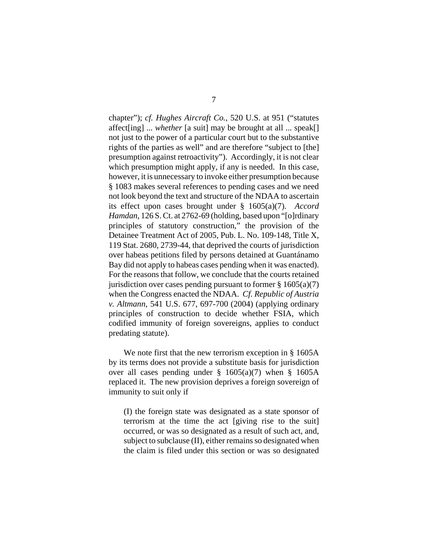chapter"); *cf. Hughes Aircraft Co.*, 520 U.S. at 951 ("statutes affect[ing] ... *whether* [a suit] may be brought at all ... speak[] not just to the power of a particular court but to the substantive rights of the parties as well" and are therefore "subject to [the] presumption against retroactivity"). Accordingly, it is not clear which presumption might apply, if any is needed. In this case, however, it is unnecessary to invoke either presumption because § 1083 makes several references to pending cases and we need not look beyond the text and structure of the NDAA to ascertain its effect upon cases brought under § 1605(a)(7). *Accord Hamdan*, 126 S. Ct. at 2762-69 (holding, based upon "[o]rdinary principles of statutory construction," the provision of the Detainee Treatment Act of 2005, Pub. L. No. 109-148, Title X, 119 Stat. 2680, 2739-44, that deprived the courts of jurisdiction over habeas petitions filed by persons detained at Guantánamo Bay did not apply to habeas cases pending when it was enacted). For the reasons that follow, we conclude that the courts retained jurisdiction over cases pending pursuant to former  $\S 1605(a)(7)$ when the Congress enacted the NDAA. *Cf. Republic of Austria v. Altmann*, 541 U.S. 677, 697-700 (2004) (applying ordinary principles of construction to decide whether FSIA, which codified immunity of foreign sovereigns, applies to conduct predating statute).

We note first that the new terrorism exception in § 1605A by its terms does not provide a substitute basis for jurisdiction over all cases pending under § 1605(a)(7) when § 1605A replaced it. The new provision deprives a foreign sovereign of immunity to suit only if

(I) the foreign state was designated as a state sponsor of terrorism at the time the act [giving rise to the suit] occurred, or was so designated as a result of such act, and, subject to subclause (II), either remains so designated when the claim is filed under this section or was so designated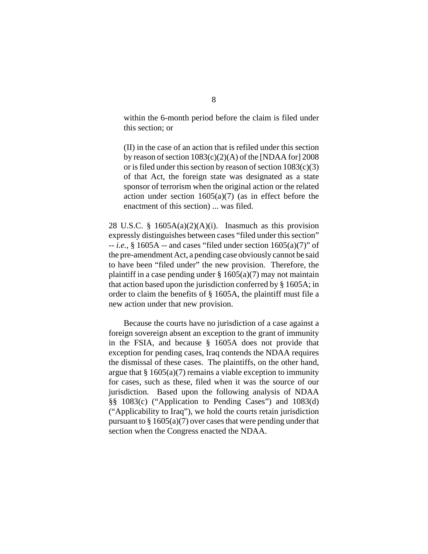within the 6-month period before the claim is filed under this section; or

(II) in the case of an action that is refiled under this section by reason of section  $1083(c)(2)(A)$  of the [NDAA for] 2008 or is filed under this section by reason of section  $1083(c)(3)$ of that Act, the foreign state was designated as a state sponsor of terrorism when the original action or the related action under section  $1605(a)(7)$  (as in effect before the enactment of this section) ... was filed.

28 U.S.C. §  $1605A(a)(2)(A)(i)$ . Inasmuch as this provision expressly distinguishes between cases "filed under this section" -- *i.e.*, § 1605A -- and cases "filed under section 1605(a)(7)" of the pre-amendment Act, a pending case obviously cannot be said to have been "filed under" the new provision. Therefore, the plaintiff in a case pending under  $\S 1605(a)(7)$  may not maintain that action based upon the jurisdiction conferred by § 1605A; in order to claim the benefits of § 1605A, the plaintiff must file a new action under that new provision.

Because the courts have no jurisdiction of a case against a foreign sovereign absent an exception to the grant of immunity in the FSIA, and because § 1605A does not provide that exception for pending cases, Iraq contends the NDAA requires the dismissal of these cases. The plaintiffs, on the other hand, argue that  $\S 1605(a)(7)$  remains a viable exception to immunity for cases, such as these, filed when it was the source of our jurisdiction. Based upon the following analysis of NDAA §§ 1083(c) ("Application to Pending Cases") and 1083(d) ("Applicability to Iraq"), we hold the courts retain jurisdiction pursuant to  $\S 1605(a)(7)$  over cases that were pending under that section when the Congress enacted the NDAA.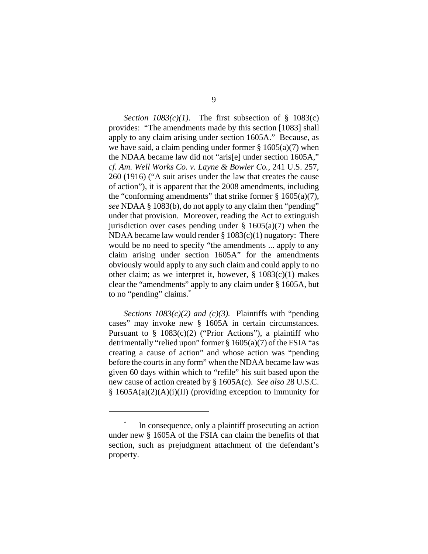*Section*  $1083(c)(1)$ *.* The first subsection of § 1083(c) provides: "The amendments made by this section [1083] shall apply to any claim arising under section 1605A." Because, as we have said, a claim pending under former  $\S 1605(a)(7)$  when the NDAA became law did not "aris[e] under section 1605A," *cf. Am. Well Works Co. v. Layne & Bowler Co.*, 241 U.S. 257, 260 (1916) ("A suit arises under the law that creates the cause of action"), it is apparent that the 2008 amendments, including the "conforming amendments" that strike former  $\S 1605(a)(7)$ , *see* NDAA § 1083(b), do not apply to any claim then "pending" under that provision. Moreover, reading the Act to extinguish jurisdiction over cases pending under  $\S$  1605(a)(7) when the NDAA became law would render § 1083(c)(1) nugatory: There would be no need to specify "the amendments ... apply to any claim arising under section 1605A" for the amendments obviously would apply to any such claim and could apply to no other claim; as we interpret it, however,  $\S$  1083(c)(1) makes clear the "amendments" apply to any claim under § 1605A, but to no "pending" claims.\*

*Sections 1083(c)(2) and (c)(3).* Plaintiffs with "pending cases" may invoke new § 1605A in certain circumstances. Pursuant to  $\S$  1083(c)(2) ("Prior Actions"), a plaintiff who detrimentally "relied upon" former  $\S 1605(a)(7)$  of the FSIA "as creating a cause of action" and whose action was "pending before the courts in any form" when the NDAA became law was given 60 days within which to "refile" his suit based upon the new cause of action created by § 1605A(c). *See also* 28 U.S.C. § 1605A(a)(2)(A)(i)(II) (providing exception to immunity for

In consequence, only a plaintiff prosecuting an action under new § 1605A of the FSIA can claim the benefits of that section, such as prejudgment attachment of the defendant's property.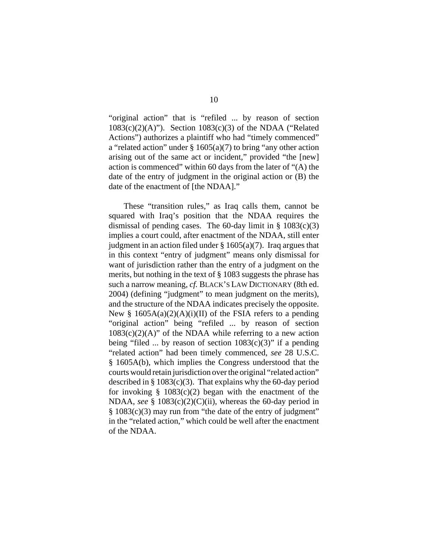"original action" that is "refiled ... by reason of section  $1083(c)(2)(A)$ "). Section  $1083(c)(3)$  of the NDAA ("Related Actions") authorizes a plaintiff who had "timely commenced" a "related action" under  $\S 1605(a)(7)$  to bring "any other action" arising out of the same act or incident," provided "the [new] action is commenced" within 60 days from the later of "(A) the date of the entry of judgment in the original action or (B) the date of the enactment of [the NDAA]."

These "transition rules," as Iraq calls them, cannot be squared with Iraq's position that the NDAA requires the dismissal of pending cases. The 60-day limit in  $\S$  1083(c)(3) implies a court could, after enactment of the NDAA, still enter judgment in an action filed under  $\S 1605(a)(7)$ . Iraq argues that in this context "entry of judgment" means only dismissal for want of jurisdiction rather than the entry of a judgment on the merits, but nothing in the text of § 1083 suggests the phrase has such a narrow meaning, *cf.* BLACK's LAW DICTIONARY (8th ed. 2004) (defining "judgment" to mean judgment on the merits), and the structure of the NDAA indicates precisely the opposite. New §  $1605A(a)(2)(A)(i)(II)$  of the FSIA refers to a pending "original action" being "refiled ... by reason of section  $1083(c)(2)(A)$ " of the NDAA while referring to a new action being "filed ... by reason of section  $1083(c)(3)$ " if a pending "related action" had been timely commenced, *see* 28 U.S.C. § 1605A(b), which implies the Congress understood that the courts would retain jurisdiction over the original "related action" described in  $\S 1083(c)(3)$ . That explains why the 60-day period for invoking  $\S$  1083(c)(2) began with the enactment of the NDAA, *see* § 1083(c)(2)(C)(ii), whereas the 60-day period in § 1083(c)(3) may run from "the date of the entry of judgment" in the "related action," which could be well after the enactment of the NDAA.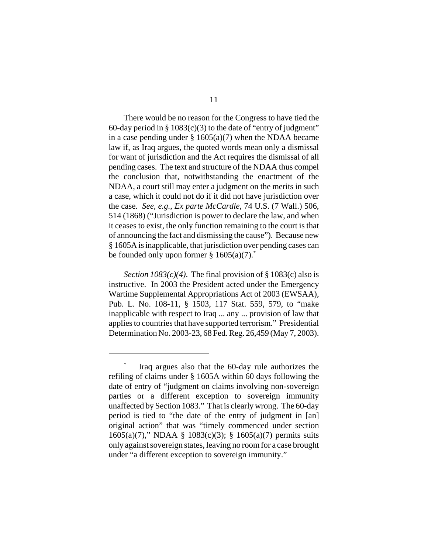There would be no reason for the Congress to have tied the 60-day period in  $\S 1083(c)(3)$  to the date of "entry of judgment" in a case pending under  $\S 1605(a)(7)$  when the NDAA became law if, as Iraq argues, the quoted words mean only a dismissal for want of jurisdiction and the Act requires the dismissal of all pending cases. The text and structure of the NDAA thus compel the conclusion that, notwithstanding the enactment of the NDAA, a court still may enter a judgment on the merits in such a case, which it could not do if it did not have jurisdiction over the case. *See, e.g.*, *Ex parte McCardle*, 74 U.S. (7 Wall.) 506, 514 (1868) ("Jurisdiction is power to declare the law, and when it ceases to exist, the only function remaining to the court is that of announcing the fact and dismissing the cause"). Because new § 1605A is inapplicable, that jurisdiction over pending cases can be founded only upon former  $\S 1605(a)(7)$ .

*Section 1083(c)(4)*. The final provision of § 1083(c) also is instructive. In 2003 the President acted under the Emergency Wartime Supplemental Appropriations Act of 2003 (EWSAA), Pub. L. No. 108-11, § 1503, 117 Stat. 559, 579, to "make inapplicable with respect to Iraq ... any ... provision of law that applies to countries that have supported terrorism." Presidential Determination No. 2003-23, 68 Fed. Reg. 26,459 (May 7, 2003).

Iraq argues also that the 60-day rule authorizes the refiling of claims under § 1605A within 60 days following the date of entry of "judgment on claims involving non-sovereign parties or a different exception to sovereign immunity unaffected by Section 1083." That is clearly wrong. The 60-day period is tied to "the date of the entry of judgment in [an] original action" that was "timely commenced under section 1605(a)(7)," NDAA § 1083(c)(3); § 1605(a)(7) permits suits only against sovereign states, leaving no room for a case brought under "a different exception to sovereign immunity."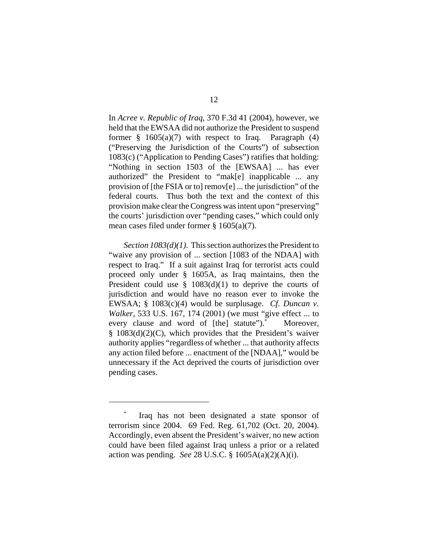In *Acree v. Republic of Iraq*, 370 F.3d 41 (2004), however, we held that the EWSAA did not authorize the President to suspend former  $\frac{8}{9}$  1605(a)(7) with respect to Iraq. Paragraph (4) ("Preserving the Jurisdiction of the Courts") of subsection 1083(c) ("Application to Pending Cases") ratifies that holding: "Nothing in section 1503 of the [EWSAA] ... has ever authorized" the President to "mak[e] inapplicable ... any provision of [the FSIA or to] remov[e] ... the jurisdiction" of the federal courts. Thus both the text and the context of this provision make clear the Congress was intent upon "preserving" the courts' jurisdiction over "pending cases," which could only mean cases filed under former § 1605(a)(7).

*Section 1083(d)(1)*. This section authorizes the President to "waive any provision of ... section [1083 of the NDAA] with respect to Iraq." If a suit against Iraq for terrorist acts could proceed only under § 1605A, as Iraq maintains, then the President could use  $\S$  1083(d)(1) to deprive the courts of jurisdiction and would have no reason ever to invoke the EWSAA; § 1083(c)(4) would be surplusage. *Cf. Duncan v. Walker*, 533 U.S. 167, 174 (2001) (we must "give effect ... to every clause and word of [the] statute").<sup>\*</sup> Moreover, § 1083(d)(2)(C), which provides that the President's waiver authority applies "regardless of whether ... that authority affects any action filed before ... enactment of the [NDAA]," would be unnecessary if the Act deprived the courts of jurisdiction over pending cases.

Iraq has not been designated a state sponsor of terrorism since 2004. 69 Fed. Reg. 61,702 (Oct. 20, 2004). Accordingly, even absent the President's waiver, no new action could have been filed against Iraq unless a prior or a related action was pending. *See* 28 U.S.C. § 1605A(a)(2)(A)(i).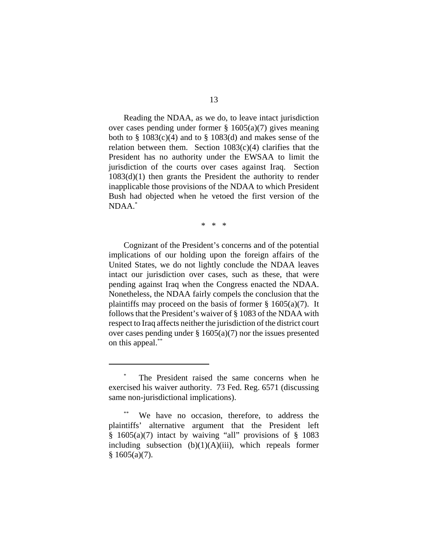Reading the NDAA, as we do, to leave intact jurisdiction over cases pending under former  $\S$  1605(a)(7) gives meaning both to  $\S$  1083(c)(4) and to  $\S$  1083(d) and makes sense of the relation between them. Section  $1083(c)(4)$  clarifies that the President has no authority under the EWSAA to limit the jurisdiction of the courts over cases against Iraq. Section  $1083(d)(1)$  then grants the President the authority to render inapplicable those provisions of the NDAA to which President Bush had objected when he vetoed the first version of the NDAA.\*

\* \* \*

Cognizant of the President's concerns and of the potential implications of our holding upon the foreign affairs of the United States, we do not lightly conclude the NDAA leaves intact our jurisdiction over cases, such as these, that were pending against Iraq when the Congress enacted the NDAA. Nonetheless, the NDAA fairly compels the conclusion that the plaintiffs may proceed on the basis of former  $\S$  1605(a)(7). It follows that the President's waiver of § 1083 of the NDAA with respect to Iraq affects neither the jurisdiction of the district court over cases pending under  $\S 1605(a)(7)$  nor the issues presented on this appeal.\*\*

The President raised the same concerns when he exercised his waiver authority. 73 Fed. Reg. 6571 (discussing same non-jurisdictional implications).

We have no occasion, therefore, to address the plaintiffs' alternative argument that the President left § 1605(a)(7) intact by waiving "all" provisions of § 1083 including subsection  $(b)(1)(A)(iii)$ , which repeals former  $§ 1605(a)(7).$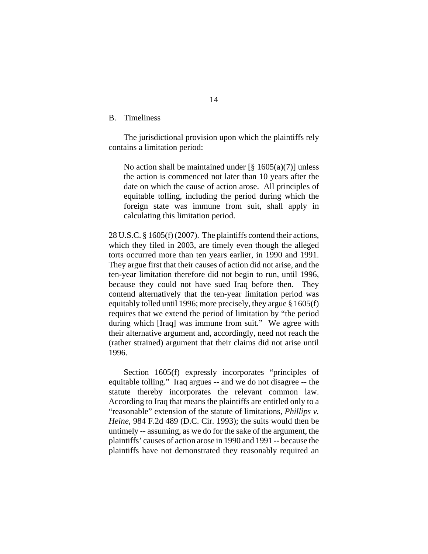B. Timeliness

The jurisdictional provision upon which the plaintiffs rely contains a limitation period:

No action shall be maintained under  $\lceil \frac{8}{9} \cdot 1605(a)(7) \rceil$  unless the action is commenced not later than 10 years after the date on which the cause of action arose. All principles of equitable tolling, including the period during which the foreign state was immune from suit, shall apply in calculating this limitation period.

28 U.S.C. § 1605(f) (2007). The plaintiffs contend their actions, which they filed in 2003, are timely even though the alleged torts occurred more than ten years earlier, in 1990 and 1991. They argue first that their causes of action did not arise, and the ten-year limitation therefore did not begin to run, until 1996, because they could not have sued Iraq before then. They contend alternatively that the ten-year limitation period was equitably tolled until 1996; more precisely, they argue § 1605(f) requires that we extend the period of limitation by "the period during which [Iraq] was immune from suit." We agree with their alternative argument and, accordingly, need not reach the (rather strained) argument that their claims did not arise until 1996.

Section 1605(f) expressly incorporates "principles of equitable tolling." Iraq argues -- and we do not disagree -- the statute thereby incorporates the relevant common law. According to Iraq that means the plaintiffs are entitled only to a "reasonable" extension of the statute of limitations, *Phillips v. Heine*, 984 F.2d 489 (D.C. Cir. 1993); the suits would then be untimely -- assuming, as we do for the sake of the argument, the plaintiffs' causes of action arose in 1990 and 1991 -- because the plaintiffs have not demonstrated they reasonably required an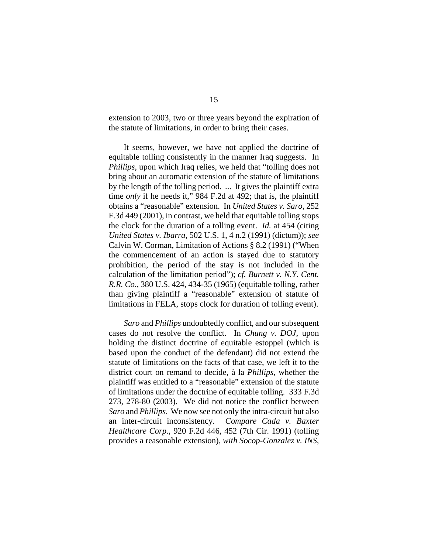extension to 2003, two or three years beyond the expiration of the statute of limitations, in order to bring their cases.

It seems, however, we have not applied the doctrine of equitable tolling consistently in the manner Iraq suggests. In *Phillips*, upon which Iraq relies, we held that "tolling does not bring about an automatic extension of the statute of limitations by the length of the tolling period. ... It gives the plaintiff extra time *only* if he needs it," 984 F.2d at 492; that is, the plaintiff obtains a "reasonable" extension. In *United States v. Saro*, 252 F.3d 449 (2001), in contrast, we held that equitable tolling stops the clock for the duration of a tolling event. *Id.* at 454 (citing *United States v. Ibarra*, 502 U.S. 1, 4 n.2 (1991) (dictum)); *see* Calvin W. Corman, Limitation of Actions § 8.2 (1991) ("When the commencement of an action is stayed due to statutory prohibition, the period of the stay is not included in the calculation of the limitation period"); *cf. Burnett v. N.Y. Cent. R.R. Co.*, 380 U.S. 424, 434-35 (1965) (equitable tolling, rather than giving plaintiff a "reasonable" extension of statute of limitations in FELA, stops clock for duration of tolling event).

*Saro* and *Phillips* undoubtedly conflict, and our subsequent cases do not resolve the conflict. In *Chung v. DOJ*, upon holding the distinct doctrine of equitable estoppel (which is based upon the conduct of the defendant) did not extend the statute of limitations on the facts of that case, we left it to the district court on remand to decide, à la *Phillips*, whether the plaintiff was entitled to a "reasonable" extension of the statute of limitations under the doctrine of equitable tolling. 333 F.3d 273, 278-80 (2003). We did not notice the conflict between *Saro* and *Phillips*. We now see not only the intra-circuit but also an inter-circuit inconsistency. *Compare Cada v. Baxter Healthcare Corp.*, 920 F.2d 446, 452 (7th Cir. 1991) (tolling provides a reasonable extension), *with Socop-Gonzalez v. INS*,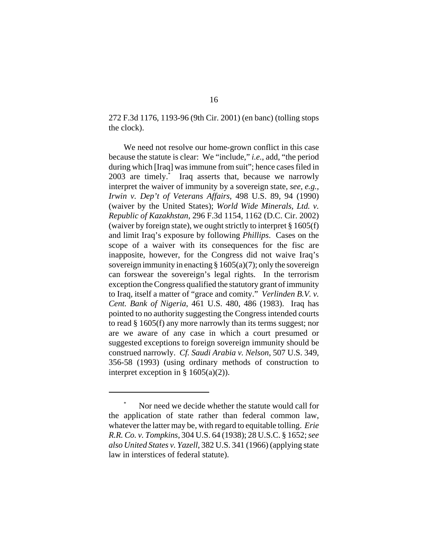272 F.3d 1176, 1193-96 (9th Cir. 2001) (en banc) (tolling stops the clock).

We need not resolve our home-grown conflict in this case because the statute is clear: We "include," *i.e.*, add, "the period during which [Iraq] was immune from suit"; hence cases filed in 2003 are timely.\* Iraq asserts that, because we narrowly interpret the waiver of immunity by a sovereign state, *see, e.g.*, *Irwin v. Dep't of Veterans Affairs*, 498 U.S. 89, 94 (1990) (waiver by the United States); *World Wide Minerals, Ltd. v. Republic of Kazakhstan*, 296 F.3d 1154, 1162 (D.C. Cir. 2002) (waiver by foreign state), we ought strictly to interpret § 1605(f) and limit Iraq's exposure by following *Phillips*. Cases on the scope of a waiver with its consequences for the fisc are inapposite, however, for the Congress did not waive Iraq's sovereign immunity in enacting  $\S 1605(a)(7)$ ; only the sovereign can forswear the sovereign's legal rights. In the terrorism exception the Congress qualified the statutory grant of immunity to Iraq, itself a matter of "grace and comity." *Verlinden B.V. v. Cent. Bank of Nigeria*, 461 U.S. 480, 486 (1983). Iraq has pointed to no authority suggesting the Congress intended courts to read § 1605(f) any more narrowly than its terms suggest; nor are we aware of any case in which a court presumed or suggested exceptions to foreign sovereign immunity should be construed narrowly. *Cf. Saudi Arabia v. Nelson*, 507 U.S. 349, 356-58 (1993) (using ordinary methods of construction to interpret exception in  $\S$  1605(a)(2)).

Nor need we decide whether the statute would call for the application of state rather than federal common law, whatever the latter may be, with regard to equitable tolling. *Erie R.R. Co. v. Tompkins*, 304 U.S. 64 (1938); 28 U.S.C. § 1652; *see also United States v. Yazell*, 382 U.S. 341 (1966) (applying state law in interstices of federal statute).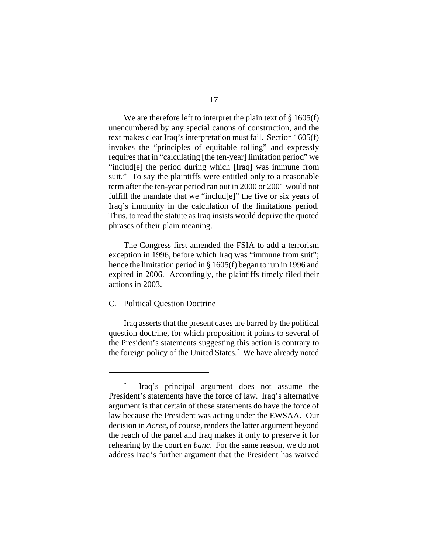We are therefore left to interpret the plain text of  $\S 1605(f)$ unencumbered by any special canons of construction, and the text makes clear Iraq's interpretation must fail. Section 1605(f) invokes the "principles of equitable tolling" and expressly requires that in "calculating [the ten-year] limitation period" we "includ[e] the period during which [Iraq] was immune from suit." To say the plaintiffs were entitled only to a reasonable term after the ten-year period ran out in 2000 or 2001 would not fulfill the mandate that we "includ[e]" the five or six years of Iraq's immunity in the calculation of the limitations period. Thus, to read the statute as Iraq insists would deprive the quoted phrases of their plain meaning.

The Congress first amended the FSIA to add a terrorism exception in 1996, before which Iraq was "immune from suit"; hence the limitation period in § 1605(f) began to run in 1996 and expired in 2006. Accordingly, the plaintiffs timely filed their actions in 2003.

# C. Political Question Doctrine

Iraq asserts that the present cases are barred by the political question doctrine, for which proposition it points to several of the President's statements suggesting this action is contrary to the foreign policy of the United States.\* We have already noted

Iraq's principal argument does not assume the President's statements have the force of law. Iraq's alternative argument is that certain of those statements do have the force of law because the President was acting under the EWSAA. Our decision in *Acree*, of course, renders the latter argument beyond the reach of the panel and Iraq makes it only to preserve it for rehearing by the court *en banc*. For the same reason, we do not address Iraq's further argument that the President has waived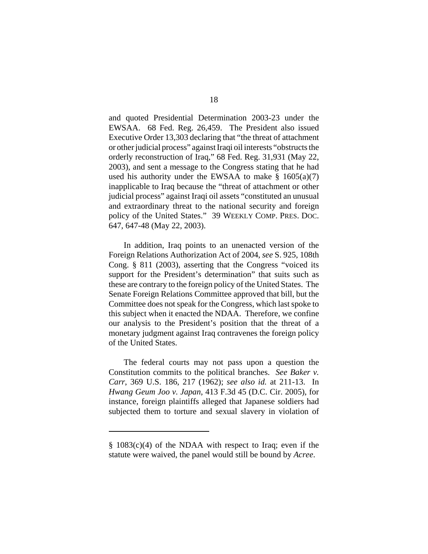and quoted Presidential Determination 2003-23 under the EWSAA. 68 Fed. Reg. 26,459. The President also issued Executive Order 13,303 declaring that "the threat of attachment or other judicial process" against Iraqi oil interests "obstructs the orderly reconstruction of Iraq," 68 Fed. Reg. 31,931 (May 22, 2003), and sent a message to the Congress stating that he had used his authority under the EWSAA to make  $\S$  1605(a)(7) inapplicable to Iraq because the "threat of attachment or other judicial process" against Iraqi oil assets "constituted an unusual and extraordinary threat to the national security and foreign policy of the United States." 39 WEEKLY COMP. PRES. DOC. 647, 647-48 (May 22, 2003).

In addition, Iraq points to an unenacted version of the Foreign Relations Authorization Act of 2004, *see* S. 925, 108th Cong. § 811 (2003), asserting that the Congress "voiced its support for the President's determination" that suits such as these are contrary to the foreign policy of the United States. The Senate Foreign Relations Committee approved that bill, but the Committee does not speak for the Congress, which last spoke to this subject when it enacted the NDAA. Therefore, we confine our analysis to the President's position that the threat of a monetary judgment against Iraq contravenes the foreign policy of the United States.

The federal courts may not pass upon a question the Constitution commits to the political branches. *See Baker v. Carr*, 369 U.S. 186, 217 (1962); *see also id.* at 211-13. In *Hwang Geum Joo v. Japan*, 413 F.3d 45 (D.C. Cir. 2005), for instance, foreign plaintiffs alleged that Japanese soldiers had subjected them to torture and sexual slavery in violation of

<sup>§ 1083(</sup>c)(4) of the NDAA with respect to Iraq; even if the statute were waived, the panel would still be bound by *Acree*.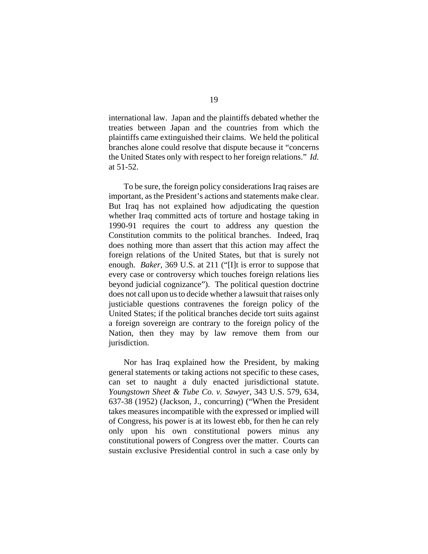international law. Japan and the plaintiffs debated whether the treaties between Japan and the countries from which the plaintiffs came extinguished their claims. We held the political branches alone could resolve that dispute because it "concerns the United States only with respect to her foreign relations." *Id.* at 51-52.

To be sure, the foreign policy considerations Iraq raises are important, as the President's actions and statements make clear. But Iraq has not explained how adjudicating the question whether Iraq committed acts of torture and hostage taking in 1990-91 requires the court to address any question the Constitution commits to the political branches. Indeed, Iraq does nothing more than assert that this action may affect the foreign relations of the United States, but that is surely not enough. *Baker*, 369 U.S. at 211 ("[I]t is error to suppose that every case or controversy which touches foreign relations lies beyond judicial cognizance"). The political question doctrine does not call upon us to decide whether a lawsuit that raises only justiciable questions contravenes the foreign policy of the United States; if the political branches decide tort suits against a foreign sovereign are contrary to the foreign policy of the Nation, then they may by law remove them from our jurisdiction.

Nor has Iraq explained how the President, by making general statements or taking actions not specific to these cases, can set to naught a duly enacted jurisdictional statute. *Youngstown Sheet & Tube Co. v. Sawyer*, 343 U.S. 579, 634, 637-38 (1952) (Jackson, J., concurring) ("When the President takes measures incompatible with the expressed or implied will of Congress, his power is at its lowest ebb, for then he can rely only upon his own constitutional powers minus any constitutional powers of Congress over the matter. Courts can sustain exclusive Presidential control in such a case only by